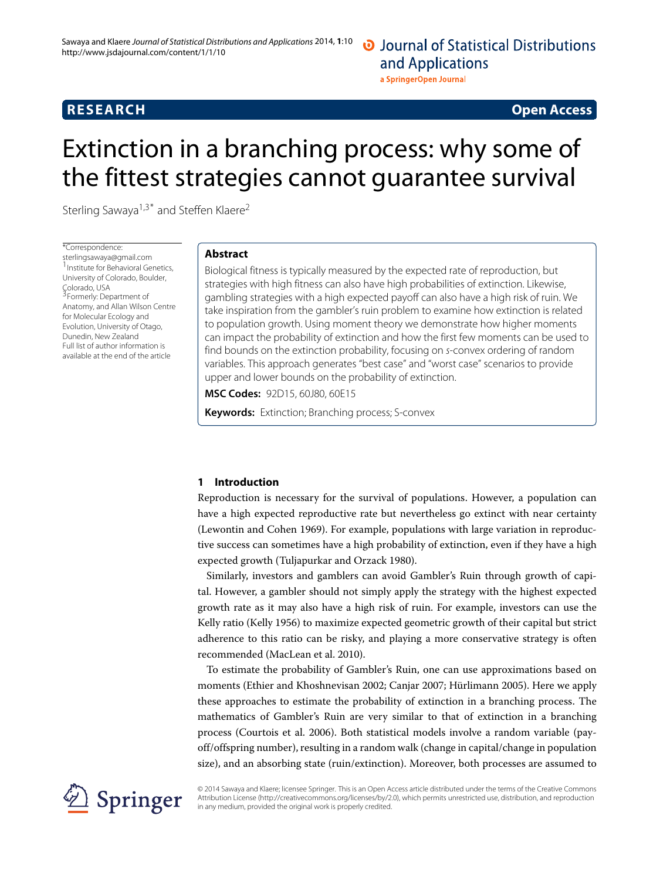a SpringerOpen Journal

# **RESEARCH Open Access**

# Extinction in a branching process: why some of the fittest strategies cannot guarantee survival

Sterling Sawaya<sup>1,3\*</sup> and Steffen Klaere<sup>2</sup>

\*Correspondence: [sterlingsawaya@gmail.com](mailto:sterlingsawaya@gmail.com) 1Institute for Behavioral Genetics, University of Colorado, Boulder, Colorado, USA 3Formerly: Department of Anatomy, and Allan Wilson Centre for Molecular Ecology and Evolution, University of Otago, Dunedin, New Zealand Full list of author information is available at the end of the article

# **Abstract**

Biological fitness is typically measured by the expected rate of reproduction, but strategies with high fitness can also have high probabilities of extinction. Likewise, gambling strategies with a high expected payoff can also have a high risk of ruin. We take inspiration from the gambler's ruin problem to examine how extinction is related to population growth. Using moment theory we demonstrate how higher moments can impact the probability of extinction and how the first few moments can be used to find bounds on the extinction probability, focusing on s-convex ordering of random variables. This approach generates "best case" and "worst case" scenarios to provide upper and lower bounds on the probability of extinction.

**MSC Codes:** 92D15, 60J80, 60E15

**Keywords:** Extinction; Branching process; S-convex

# **1 Introduction**

Reproduction is necessary for the survival of populations. However, a population can have a high expected reproductive rate but nevertheless go extinct with near certainty (Lewontin and Cohen [1969\)](#page-11-0). For example, populations with large variation in reproductive success can sometimes have a high probability of extinction, even if they have a high expected growth (Tuljapurkar and Orzack [1980\)](#page-12-0).

Similarly, investors and gamblers can avoid Gambler's Ruin through growth of capital. However, a gambler should not simply apply the strategy with the highest expected growth rate as it may also have a high risk of ruin. For example, investors can use the Kelly ratio (Kelly [1956\)](#page-11-1) to maximize expected geometric growth of their capital but strict adherence to this ratio can be risky, and playing a more conservative strategy is often recommended (MacLean et al. [2010\)](#page-11-2).

To estimate the probability of Gambler's Ruin, one can use approximations based on moments (Ethier and Khoshnevisan [2002;](#page-11-3) Canjar [2007;](#page-11-4) Hürlimann [2005\)](#page-11-5). Here we apply these approaches to estimate the probability of extinction in a branching process. The mathematics of Gambler's Ruin are very similar to that of extinction in a branching process (Courtois et al. [2006\)](#page-11-6). Both statistical models involve a random variable (payoff/offspring number), resulting in a random walk (change in capital/change in population size), and an absorbing state (ruin/extinction). Moreover, both processes are assumed to



© 2014 Sawaya and Klaere; licensee Springer. This is an Open Access article distributed under the terms of the Creative Commons Attribution License [\(http://creativecommons.org/licenses/by/2.0\)](http://creativecommons.org/licenses/by/2.0), which permits unrestricted use, distribution, and reproduction in any medium, provided the original work is properly credited.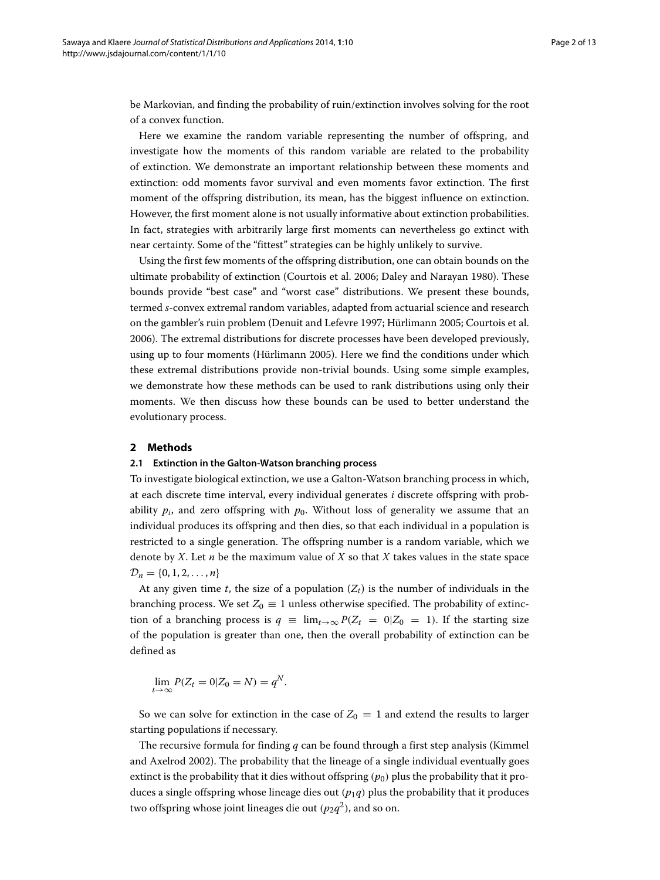be Markovian, and finding the probability of ruin/extinction involves solving for the root of a convex function.

Here we examine the random variable representing the number of offspring, and investigate how the moments of this random variable are related to the probability of extinction. We demonstrate an important relationship between these moments and extinction: odd moments favor survival and even moments favor extinction. The first moment of the offspring distribution, its mean, has the biggest influence on extinction. However, the first moment alone is not usually informative about extinction probabilities. In fact, strategies with arbitrarily large first moments can nevertheless go extinct with near certainty. Some of the "fittest" strategies can be highly unlikely to survive.

Using the first few moments of the offspring distribution, one can obtain bounds on the ultimate probability of extinction (Courtois et al. [2006;](#page-11-6) Daley and Narayan [1980\)](#page-11-7). These bounds provide "best case" and "worst case" distributions. We present these bounds, termed *s*-convex extremal random variables, adapted from actuarial science and research on the gambler's ruin problem (Denuit and Lefevre [1997;](#page-11-8) Hürlimann [2005;](#page-11-5) Courtois et al. [2006\)](#page-11-6). The extremal distributions for discrete processes have been developed previously, using up to four moments (Hürlimann [2005\)](#page-11-5). Here we find the conditions under which these extremal distributions provide non-trivial bounds. Using some simple examples, we demonstrate how these methods can be used to rank distributions using only their moments. We then discuss how these bounds can be used to better understand the evolutionary process.

# **2 Methods**

#### **2.1 Extinction in the Galton-Watson branching process**

To investigate biological extinction, we use a Galton-Watson branching process in which, at each discrete time interval, every individual generates *i* discrete offspring with probability  $p_i$ , and zero offspring with  $p_0$ . Without loss of generality we assume that an individual produces its offspring and then dies, so that each individual in a population is restricted to a single generation. The offspring number is a random variable, which we denote by *X*. Let *n* be the maximum value of *X* so that *X* takes values in the state space  $\mathcal{D}_n = \{0, 1, 2, \ldots, n\}$ 

At any given time *t*, the size of a population  $(Z_t)$  is the number of individuals in the branching process. We set  $Z_0 \equiv 1$  unless otherwise specified. The probability of extinction of a branching process is  $q \equiv \lim_{t \to \infty} P(Z_t = 0|Z_0 = 1)$ . If the starting size of the population is greater than one, then the overall probability of extinction can be defined as

$$
\lim_{t \to \infty} P(Z_t = 0 | Z_0 = N) = q^N.
$$

So we can solve for extinction in the case of  $Z_0 = 1$  and extend the results to larger starting populations if necessary.

The recursive formula for finding *q* can be found through a first step analysis (Kimmel and Axelrod [2002\)](#page-11-9). The probability that the lineage of a single individual eventually goes extinct is the probability that it dies without offspring  $(p_0)$  plus the probability that it produces a single offspring whose lineage dies out  $(p_1q)$  plus the probability that it produces two offspring whose joint lineages die out  $(p_2q^2)$ , and so on.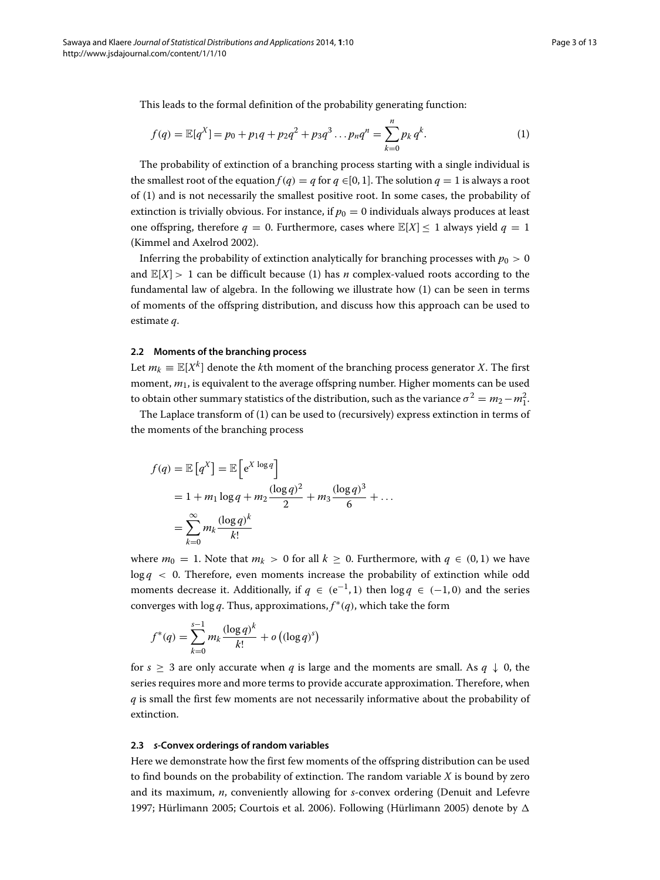This leads to the formal definition of the probability generating function:

<span id="page-2-0"></span>
$$
f(q) = \mathbb{E}[q^X] = p_0 + p_1q + p_2q^2 + p_3q^3 \dots p_nq^n = \sum_{k=0}^n p_k q^k.
$$
 (1)

The probability of extinction of a branching process starting with a single individual is the smallest root of the equation  $f(q) = q$  for  $q \in [0, 1]$ . The solution  $q = 1$  is always a root of [\(1\)](#page-2-0) and is not necessarily the smallest positive root. In some cases, the probability of extinction is trivially obvious. For instance, if  $p_0 = 0$  individuals always produces at least one offspring, therefore  $q = 0$ . Furthermore, cases where  $\mathbb{E}[X] \leq 1$  always yield  $q = 1$ (Kimmel and Axelrod [2002\)](#page-11-9).

Inferring the probability of extinction analytically for branching processes with  $p_0 > 0$ and  $\mathbb{E}[X] > 1$  can be difficult because [\(1\)](#page-2-0) has *n* complex-valued roots according to the fundamental law of algebra. In the following we illustrate how [\(1\)](#page-2-0) can be seen in terms of moments of the offspring distribution, and discuss how this approach can be used to estimate *q*.

#### **2.2 Moments of the branching process**

Let  $m_k \equiv \mathbb{E}[X^k]$  denote the *k*th moment of the branching process generator *X*. The first moment, *m*1, is equivalent to the average offspring number. Higher moments can be used to obtain other summary statistics of the distribution, such as the variance  $\sigma^2 = m_2 - m_1^2$ .

The Laplace transform of [\(1\)](#page-2-0) can be used to (recursively) express extinction in terms of the moments of the branching process

$$
f(q) = \mathbb{E}\left[q^X\right] = \mathbb{E}\left[e^{X \log q}\right]
$$
  
= 1 + m<sub>1</sub> log q + m<sub>2</sub>  $\frac{(\log q)^2}{2}$  + m<sub>3</sub>  $\frac{(\log q)^3}{6}$  + ...  
= 
$$
\sum_{k=0}^{\infty} m_k \frac{(\log q)^k}{k!}
$$

where  $m_0 = 1$ . Note that  $m_k > 0$  for all  $k \geq 0$ . Furthermore, with  $q \in (0,1)$  we have  $\log q$  < 0. Therefore, even moments increase the probability of extinction while odd moments decrease it. Additionally, if  $q \in (e^{-1}, 1)$  then  $\log q \in (-1, 0)$  and the series converges with log *q*. Thus, approximations, *f* ∗*(q)*, which take the form

$$
f^*(q) = \sum_{k=0}^{s-1} m_k \frac{(\log q)^k}{k!} + o\left((\log q)^s\right)
$$

for  $s \geq 3$  are only accurate when *q* is large and the moments are small. As  $q \downarrow 0$ , the series requires more and more terms to provide accurate approximation. Therefore, when *q* is small the first few moments are not necessarily informative about the probability of extinction.

### **2.3** *s***-Convex orderings of random variables**

Here we demonstrate how the first few moments of the offspring distribution can be used to find bounds on the probability of extinction. The random variable *X* is bound by zero and its maximum, *n*, conveniently allowing for *s*-convex ordering (Denuit and Lefevre [1997;](#page-11-8) Hürlimann [2005;](#page-11-5) Courtois et al. [2006\)](#page-11-6). Following (Hürlimann [2005\)](#page-11-5) denote by  $\Delta$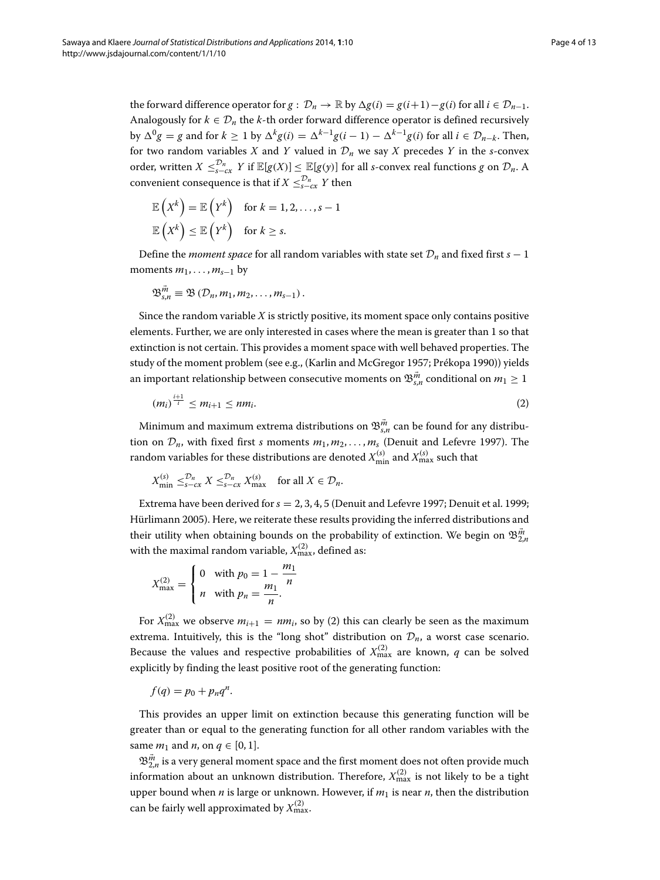the forward difference operator for  $g: \mathcal{D}_n \to \mathbb{R}$  by  $\Delta g(i) = g(i+1) - g(i)$  for all  $i \in \mathcal{D}_{n-1}$ . Analogously for  $k \in \mathcal{D}_n$  the *k*-th order forward difference operator is defined recursively by  $\Delta^{0}g = g$  and for  $k \ge 1$  by  $\Delta^{k}g(i) = \Delta^{k-1}g(i-1) - \Delta^{k-1}g(i)$  for all  $i \in \mathcal{D}_{n-k}$ . Then, for two random variables *X* and *Y* valued in  $\mathcal{D}_n$  we say *X* precedes *Y* in the *s*-convex order, written  $X \leq_{s-cx}^{D_n} Y$  if  $\mathbb{E}[g(X)] \leq \mathbb{E}[g(y)]$  for all *s*-convex real functions *g* on  $\mathcal{D}_n$ . A convenient consequence is that if  $X \leq_{s-\alpha}^{\infty} Y$  then

$$
\mathbb{E}\left(X^{k}\right) = \mathbb{E}\left(Y^{k}\right) \quad \text{for } k = 1, 2, \ldots, s - 1
$$

$$
\mathbb{E}\left(X^{k}\right) \leq \mathbb{E}\left(Y^{k}\right) \quad \text{for } k \geq s.
$$

Define the *moment space* for all random variables with state set  $\mathcal{D}_n$  and fixed first *s* − 1 moments  $m_1, \ldots, m_{s-1}$  by

$$
\mathfrak{B}_{s,n}^{\vec{m}}\equiv\mathfrak{B}\left(\mathcal{D}_n,m_1,m_2,\ldots,m_{s-1}\right).
$$

Since the random variable *X* is strictly positive, its moment space only contains positive elements. Further, we are only interested in cases where the mean is greater than 1 so that extinction is not certain. This provides a moment space with well behaved properties. The study of the moment problem (see e.g., (Karlin and McGregor [1957;](#page-11-10) Prékopa [1990\)](#page-11-11)) yields an important relationship between consecutive moments on  $\mathfrak{B}^{\vec{m}}_{s,n}$  conditional on  $m_1\geq 1$ 

<span id="page-3-0"></span>
$$
(m_i)^{\frac{i+1}{i}} \le m_{i+1} \le nm_i. \tag{2}
$$

Minimum and maximum extrema distributions on  $\mathfrak{B}^{\vec{m}}_{s,n}$  can be found for any distribution on  $\mathcal{D}_n$ , with fixed first *s* moments  $m_1, m_2, \ldots, m_s$  (Denuit and Lefevre [1997\)](#page-11-8). The random variables for these distributions are denoted  $X_{\min}^{(s)}$  and  $X_{\max}^{(s)}$  such that

$$
X_{\min}^{(s)} \leq_{s-cx}^{\mathcal{D}_n} X \leq_{s-cx}^{\mathcal{D}_n} X_{\max}^{(s)} \quad \text{for all } X \in \mathcal{D}_n.
$$

Extrema have been derived for*s* = 2, 3, 4, 5 (Denuit and Lefevre [1997;](#page-11-8) Denuit et al. [1999;](#page-11-12) Hürlimann [2005\)](#page-11-5). Here, we reiterate these results providing the inferred distributions and their utility when obtaining bounds on the probability of extinction. We begin on  $\mathfrak{B}_{2,n}^{\vec{m}}$ with the maximal random variable,  $X_{\mathrm{max}}^{(2)}$  , defined as:

$$
X_{\max}^{(2)} = \begin{cases} 0 & \text{with } p_0 = 1 - \frac{m_1}{n} \\ n & \text{with } p_n = \frac{m_1}{n} \end{cases}
$$

For  $X_{\text{max}}^{(2)}$  $X_{\text{max}}^{(2)}$  $X_{\text{max}}^{(2)}$  we observe  $m_{i+1} = nm_i$ , so by (2) this can clearly be seen as the maximum extrema. Intuitively, this is the "long shot" distribution on  $\mathcal{D}_n$ , a worst case scenario. Because the values and respective probabilities of  $X_{\text{max}}^{(2)}$  are known, *q* can be solved explicitly by finding the least positive root of the generating function:

$$
f(q) = p_0 + p_n q^n.
$$

This provides an upper limit on extinction because this generating function will be greater than or equal to the generating function for all other random variables with the same  $m_1$  and  $n$ , on  $q \in [0, 1]$ .

 $\mathfrak{B}^{\vec{m}}_{2,n}$  is a very general moment space and the first moment does not often provide much information about an unknown distribution. Therefore,  $X_{\text{max}}^{(2)}$  is not likely to be a tight upper bound when  $n$  is large or unknown. However, if  $m_1$  is near  $n$ , then the distribution can be fairly well approximated by  $X^{(2)}_{\text{max}}$ .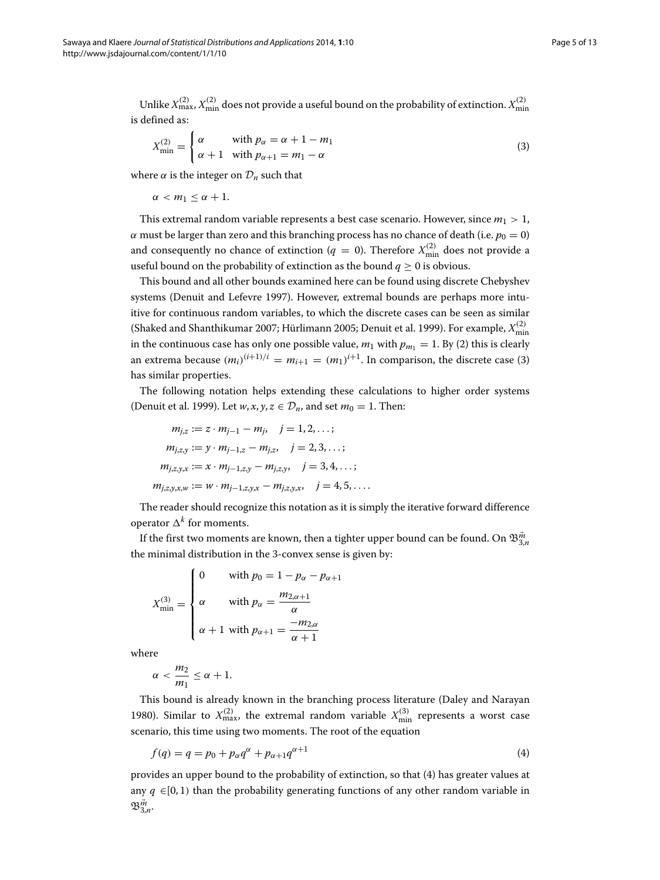Unlike  $X_{\max}^{(2)}, X_{\min}^{(2)}$  does not provide a useful bound on the probability of extinction.  $X_{\min}^{(2)}$ is defined as:

<span id="page-4-0"></span>
$$
X_{\min}^{(2)} = \begin{cases} \alpha & \text{with } p_{\alpha} = \alpha + 1 - m_1 \\ \alpha + 1 & \text{with } p_{\alpha+1} = m_1 - \alpha \end{cases}
$$
 (3)

where  $\alpha$  is the integer on  $\mathcal{D}_n$  such that

 $\alpha < m_1 < \alpha + 1$ .

This extremal random variable represents a best case scenario. However, since  $m_1 > 1$ , *α* must be larger than zero and this branching process has no chance of death (i.e.  $p_0 = 0$ ) and consequently no chance of extinction ( $q = 0$ ). Therefore  $X_{\min}^{(2)}$  does not provide a useful bound on the probability of extinction as the bound  $q \ge 0$  is obvious.

This bound and all other bounds examined here can be found using discrete Chebyshev systems (Denuit and Lefevre [1997\)](#page-11-8). However, extremal bounds are perhaps more intuitive for continuous random variables, to which the discrete cases can be seen as similar (Shaked and Shanthikumar [2007;](#page-12-1) Hürlimann [2005;](#page-11-5) Denuit et al. [1999\)](#page-11-12). For example,  $X_{\rm min}^{(2)}$ in the continuous case has only one possible value,  $m_1$  with  $p_{m_1} = 1$ . By [\(2\)](#page-3-0) this is clearly an extrema because  $(m_i)^{(i+1)/i} = m_{i+1} = (m_1)^{i+1}$ . In comparison, the discrete case [\(3\)](#page-4-0) has similar properties.

The following notation helps extending these calculations to higher order systems (Denuit et al. [1999\)](#page-11-13). Let  $w, x, y, z \in \mathcal{D}_n$ , and set  $m_0 = 1$ . Then:

$$
m_{j,z} := z \cdot m_{j-1} - m_j, \quad j = 1, 2, \dots;
$$
  
\n
$$
m_{j,z,y} := y \cdot m_{j-1,z} - m_{j,z}, \quad j = 2, 3, \dots;
$$
  
\n
$$
m_{j,z,y,x} := x \cdot m_{j-1,z,y} - m_{j,z,y}, \quad j = 3, 4, \dots;
$$
  
\n
$$
m_{j,z,y,x,w} := w \cdot m_{j-1,z,y,x} - m_{j,z,y,x}, \quad j = 4, 5, \dots.
$$

The reader should recognize this notation as it is simply the iterative forward difference operator  $\Delta^k$  for moments.

If the first two moments are known, then a tighter upper bound can be found. On  $\mathfrak{B}^{\vec{m}}_{3,n}$ the minimal distribution in the 3-convex sense is given by:

$$
X_{\min}^{(3)} = \begin{cases} 0 & \text{with } p_0 = 1 - p_\alpha - p_{\alpha+1} \\ \alpha & \text{with } p_\alpha = \frac{m_{2,\alpha+1}}{\alpha} \\ \alpha + 1 & \text{with } p_{\alpha+1} = \frac{-m_{2,\alpha}}{\alpha + 1} \end{cases}
$$

where

$$
\alpha < \frac{m_2}{m_1} \leq \alpha + 1.
$$

This bound is already known in the branching process literature (Daley and Narayan [1980\)](#page-11-7). Similar to  $X_{\text{max}}^{(2)}$ , the extremal random variable  $X_{\text{min}}^{(3)}$  represents a worst case scenario, this time using two moments. The root of the equation

<span id="page-4-1"></span>
$$
f(q) = q = p_0 + p_\alpha q^\alpha + p_{\alpha+1} q^{\alpha+1}
$$
 (4)

provides an upper bound to the probability of extinction, so that [\(4\)](#page-4-1) has greater values at any  $q \in [0, 1)$  than the probability generating functions of any other random variable in  $\mathfrak{B}_{3,n}^{\vec{m}}.$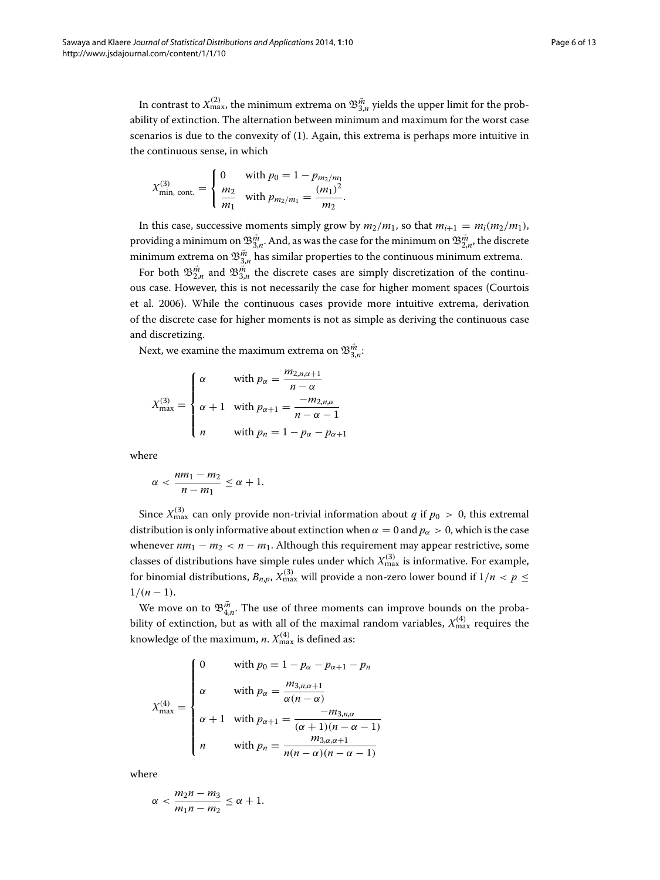In contrast to  $X_{\max}^{(2)}$ , the minimum extrema on  $\mathfrak{B}_{3,n}^{\vec{m}}$  yields the upper limit for the probability of extinction. The alternation between minimum and maximum for the worst case scenarios is due to the convexity of [\(1\)](#page-2-0). Again, this extrema is perhaps more intuitive in the continuous sense, in which

$$
X_{\min, \text{ cont.}}^{(3)} = \begin{cases} 0 & \text{with } p_0 = 1 - p_{m_2/m_1} \\ \frac{m_2}{m_1} & \text{with } p_{m_2/m_1} = \frac{(m_1)^2}{m_2} \end{cases}.
$$

In this case, successive moments simply grow by  $m_2/m_1$ , so that  $m_{i+1} = m_i(m_2/m_1)$ , providing a minimum on  $\mathfrak{B}^{\vec{m}}_{3,n}.$  And, as was the case for the minimum on  $\mathfrak{B}^{\vec{m}}_{2,n}.$  the discrete minimum extrema on  $\mathfrak{B}^{\vec{m}}_{3,n}$  has similar properties to the continuous minimum extrema.

For both  $\mathfrak{B}^{\vec{m}}_{2,n}$  and  $\mathfrak{B}^{\vec{m}}_{3,n}$  the discrete cases are simply discretization of the continuous case. However, this is not necessarily the case for higher moment spaces (Courtois et al. [2006\)](#page-11-6). While the continuous cases provide more intuitive extrema, derivation of the discrete case for higher moments is not as simple as deriving the continuous case and discretizing.

Next, we examine the maximum extrema on  $\mathfrak{B}^{\vec{m}}_{3,n}$ :

$$
X_{\max}^{(3)} = \begin{cases} \alpha & \text{with } p_{\alpha} = \frac{m_{2,n,\alpha+1}}{n-\alpha} \\ \alpha+1 & \text{with } p_{\alpha+1} = \frac{-m_{2,n,\alpha}}{n-\alpha-1} \\ n & \text{with } p_n = 1-p_{\alpha}-p_{\alpha+1} \end{cases}
$$

where

$$
\alpha < \frac{nm_1 - m_2}{n - m_1} \leq \alpha + 1.
$$

Since  $X_{\text{max}}^{(3)}$  can only provide non-trivial information about *q* if  $p_0 > 0$ , this extremal distribution is only informative about extinction when  $\alpha = 0$  and  $p_{\alpha} > 0$ , which is the case whenever  $nm_1 - m_2 < n - m_1$ . Although this requirement may appear restrictive, some classes of distributions have simple rules under which  $X_{\text{max}}^{(3)}$  is informative. For example, for binomial distributions,  $B_{n,p}$ ,  $X_{\text{max}}^{(3)}$  will provide a non-zero lower bound if  $1/n < p \leq$  $1/(n-1)$ .

We move on to  $\mathfrak{B}_{4,n}^{\vec{m}}$ . The use of three moments can improve bounds on the probability of extinction, but as with all of the maximal random variables,  $X_{\text{max}}^{(4)}$  requires the knowledge of the maximum, *n*.  $X_{\text{max}}^{(4)}$  is defined as:

$$
X_{\max}^{(4)} = \begin{cases} 0 & \text{with } p_0 = 1 - p_{\alpha} - p_{\alpha+1} - p_n \\ \alpha & \text{with } p_{\alpha} = \frac{m_{3,n,\alpha+1}}{\alpha(n-\alpha)} \\ \alpha + 1 & \text{with } p_{\alpha+1} = \frac{-m_{3,n,\alpha}}{(\alpha+1)(n-\alpha-1)} \\ n & \text{with } p_n = \frac{m_{3,\alpha,\alpha+1}}{n(n-\alpha)(n-\alpha-1)} \end{cases}
$$

where

$$
\alpha < \frac{m_2 n - m_3}{m_1 n - m_2} \leq \alpha + 1.
$$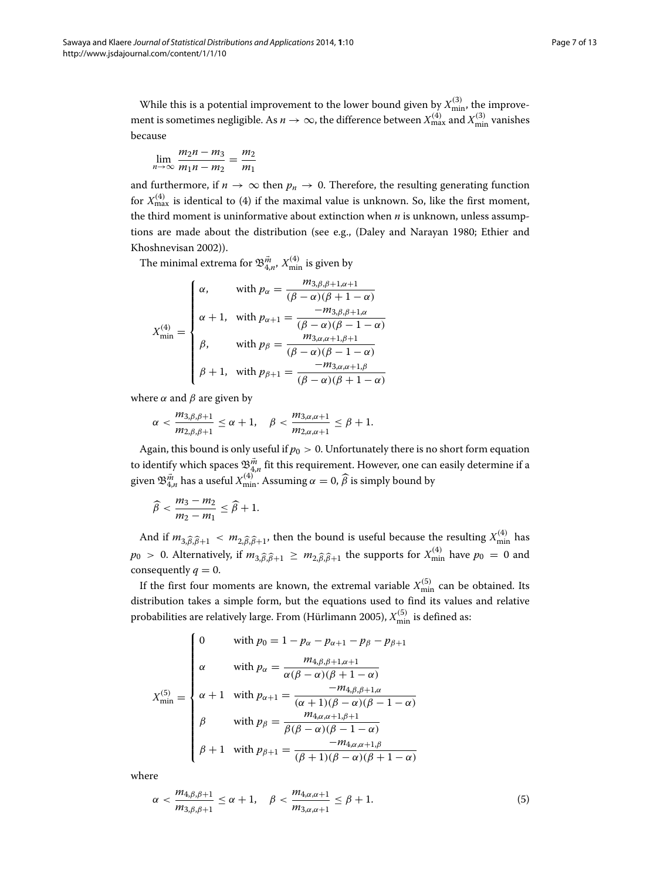While this is a potential improvement to the lower bound given by  $X_{\min}^{(3)}$ , the improvement is sometimes negligible. As  $n \to \infty$ , the difference between  $X_{\max}^{(4)}$  and  $X_{\min}^{(3)}$  vanishes because

$$
\lim_{n\to\infty}\frac{m_2n-m_3}{m_1n-m_2}=\frac{m_2}{m_1}
$$

and furthermore, if  $n \to \infty$  then  $p_n \to 0$ . Therefore, the resulting generating function for  $X_{\text{max}}^{(4)}$  $X_{\text{max}}^{(4)}$  $X_{\text{max}}^{(4)}$  is identical to (4) if the maximal value is unknown. So, like the first moment, the third moment is uninformative about extinction when *n* is unknown, unless assumptions are made about the distribution (see e.g., (Daley and Narayan [1980;](#page-11-7) Ethier and Khoshnevisan [2002\)](#page-11-3)).

The minimal extrema for  $\mathfrak{B}_{4,n}^{\vec{m}},$   $X_{\text{min}}^{(4)}$  is given by

$$
X_{\min}^{(4)} = \begin{cases} \alpha, & \text{with } p_{\alpha} = \frac{m_{3,\beta,\beta+1,\alpha+1}}{(\beta-\alpha)(\beta+1-\alpha)} \\ \alpha+1, & \text{with } p_{\alpha+1} = \frac{-m_{3,\beta,\beta+1,\alpha}}{(\beta-\alpha)(\beta-1-\alpha)} \\ \beta, & \text{with } p_{\beta} = \frac{m_{3,\alpha,\alpha+1,\beta+1}}{(\beta-\alpha)(\beta-1-\alpha)} \\ \beta+1, & \text{with } p_{\beta+1} = \frac{-m_{3,\alpha,\alpha+1,\beta}}{(\beta-\alpha)(\beta+1-\alpha)} \end{cases}
$$

where  $\alpha$  and  $\beta$  are given by

$$
\alpha < \frac{m_{3,\beta,\beta+1}}{m_{2,\beta,\beta+1}} \leq \alpha+1, \quad \beta < \frac{m_{3,\alpha,\alpha+1}}{m_{2,\alpha,\alpha+1}} \leq \beta+1.
$$

Again, this bound is only useful if  $p_0 > 0$ . Unfortunately there is no short form equation to identify which spaces  $\mathfrak{B}^{\vec{m}}_{4,n}$  fit this requirement. However, one can easily determine if a given  $\mathfrak{B}^{\vec{m}}_{4,n}$  has a useful  $X^{(4)}_{\text{min}}$ . Assuming  $\alpha = 0$ ,  $\widehat{\beta}$  is simply bound by

$$
\widehat{\beta}<\frac{m_3-m_2}{m_2-m_1}\leq \widehat{\beta}+1.
$$

And if  $m_{3,\widehat{\beta},\widehat{\beta}+1} < m_{2,\widehat{\beta},\widehat{\beta}+1}$ , then the bound is useful because the resulting  $X_{\min}^{(4)}$  has  $p_0 > 0$ . Alternatively, if  $m_{3,\widehat{\beta},\widehat{\beta}+1} \geq m_{2,\widehat{\beta},\widehat{\beta}+1}$  the supports for  $X_{\min}^{(4)}$  have  $p_0 = 0$  and consequently  $q = 0$ .

If the first four moments are known, the extremal variable  $X_{\min}^{(5)}$  can be obtained. Its distribution takes a simple form, but the equations used to find its values and relative probabilities are relatively large. From (Hürlimann [2005\)](#page-11-5),  $X_{\rm min}^{(5)}$  is defined as:

$$
X_{\min}^{(5)} = \begin{cases} 0 & \text{with } p_0 = 1 - p_{\alpha} - p_{\alpha+1} - p_{\beta} - p_{\beta+1} \\ \alpha & \text{with } p_{\alpha} = \frac{m_{4,\beta,\beta+1,\alpha+1}}{\alpha(\beta-\alpha)(\beta+1-\alpha)} \\ \alpha+1 & \text{with } p_{\alpha+1} = \frac{-m_{4,\beta,\beta+1,\alpha}}{(\alpha+1)(\beta-\alpha)(\beta-1-\alpha)} \\ \beta & \text{with } p_{\beta} = \frac{m_{4,\alpha,\alpha+1,\beta+1}}{\beta(\beta-\alpha)(\beta-1-\alpha)} \\ \beta+1 & \text{with } p_{\beta+1} = \frac{-m_{4,\alpha,\alpha+1,\beta}}{(\beta+1)(\beta-\alpha)(\beta+1-\alpha)} \end{cases}
$$

where

$$
\alpha < \frac{m_{4,\beta,\beta+1}}{m_{3,\beta,\beta+1}} \le \alpha + 1, \quad \beta < \frac{m_{4,\alpha,\alpha+1}}{m_{3,\alpha,\alpha+1}} \le \beta + 1. \tag{5}
$$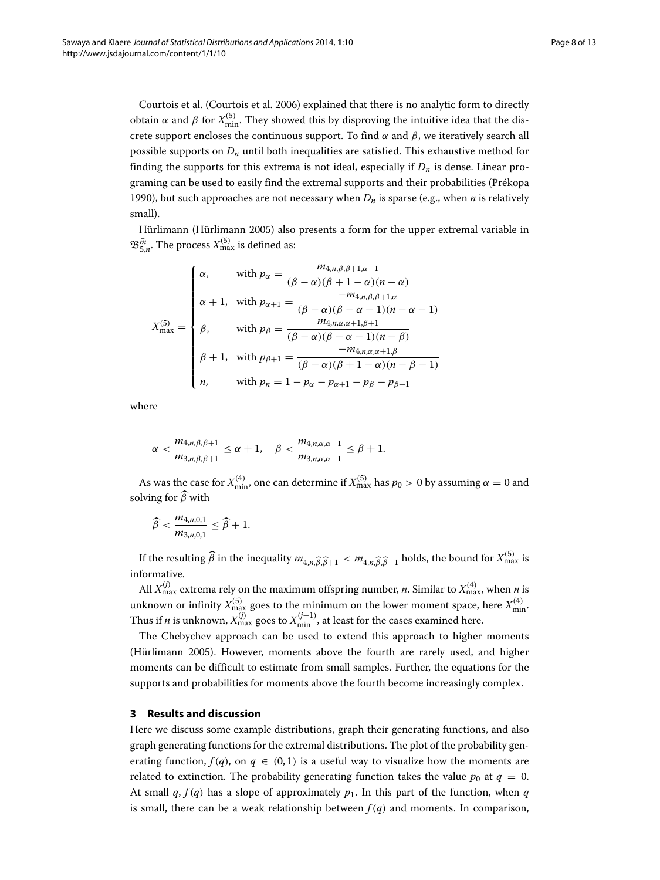Courtois et al. (Courtois et al. [2006\)](#page-11-6) explained that there is no analytic form to directly obtain *α* and *β* for  $X_{\text{min}}^{(5)}$ . They showed this by disproving the intuitive idea that the discrete support encloses the continuous support. To find *α* and *β*, we iteratively search all possible supports on *Dn* until both inequalities are satisfied. This exhaustive method for finding the supports for this extrema is not ideal, especially if  $D_n$  is dense. Linear programing can be used to easily find the extremal supports and their probabilities (Prékopa [1990\)](#page-11-11), but such approaches are not necessary when  $D_n$  is sparse (e.g., when *n* is relatively small).

Hürlimann (Hürlimann [2005\)](#page-11-5) also presents a form for the upper extremal variable in  $\mathfrak{B}^{\vec{m}}_{5,n}.$  The process  $X^{(5)}_{\text{max}}$  is defined as:

$$
X_{\max}^{(5)} = \begin{cases} \n\alpha, & \text{with } p_{\alpha} = \frac{m_{4,n,\beta,\beta+1,\alpha+1}}{(\beta-\alpha)(\beta+1-\alpha)(n-\alpha)} \\ \n\alpha+1, & \text{with } p_{\alpha+1} = \frac{-m_{4,n,\beta,\beta+1,\alpha}}{(\beta-\alpha)(\beta-\alpha-1)(n-\alpha-1)} \\ \n\beta, & \text{with } p_{\beta} = \frac{m_{4,n,\alpha,\alpha+1,\beta+1}}{(\beta-\alpha)(\beta-\alpha-1)(n-\beta)} \\ \n\beta+1, & \text{with } p_{\beta+1} = \frac{-m_{4,n,\alpha,\alpha+1,\beta}}{(\beta-\alpha)(\beta+1-\alpha)(n-\beta-1)} \\ \n\eta, & \text{with } p_n = 1 - p_{\alpha} - p_{\alpha+1} - p_{\beta} - p_{\beta+1} \n\end{cases}
$$

where

$$
\alpha < \frac{m_{4,n,\beta,\beta+1}}{m_{3,n,\beta,\beta+1}} \leq \alpha+1, \quad \beta < \frac{m_{4,n,\alpha,\alpha+1}}{m_{3,n,\alpha,\alpha+1}} \leq \beta+1.
$$

As was the case for  $X_{\min}^{(4)}$ , one can determine if  $X_{\max}^{(5)}$  has  $p_0 > 0$  by assuming  $\alpha = 0$  and solving for *β* with

$$
\widehat{\beta}<\frac{m_{4,n,0,1}}{m_{3,n,0,1}}\leq \widehat{\beta}+1.
$$

If the resulting  $\widehat{\beta}$  in the inequality  $m_{4,n,\widehat{\beta},\widehat{\beta}+1} < m_{4,n,\widehat{\beta},\widehat{\beta}+1}$  holds, the bound for  $X_{\max}^{(5)}$  is informative.

All  $X_{\max}^{(j)}$  extrema rely on the maximum offspring number, *n*. Similar to  $X_{\max}^{(4)}$ , when *n* is unknown or infinity  $X_{\text{max}}^{(5)}$  goes to the minimum on the lower moment space, here  $X_{\text{min}}^{(4)}$ . Thus if  $n$  is unknown,  $X_{\max}^{(j)}$  goes to  $X_{\min}^{(j-1)}$ , at least for the cases examined here.

The Chebychev approach can be used to extend this approach to higher moments (Hürlimann [2005\)](#page-11-5). However, moments above the fourth are rarely used, and higher moments can be difficult to estimate from small samples. Further, the equations for the supports and probabilities for moments above the fourth become increasingly complex.

# **3 Results and discussion**

Here we discuss some example distributions, graph their generating functions, and also graph generating functions for the extremal distributions. The plot of the probability generating function,  $f(q)$ , on  $q \in (0, 1)$  is a useful way to visualize how the moments are related to extinction. The probability generating function takes the value  $p_0$  at  $q = 0$ . At small  $q$ ,  $f(q)$  has a slope of approximately  $p_1$ . In this part of the function, when  $q$ is small, there can be a weak relationship between  $f(q)$  and moments. In comparison,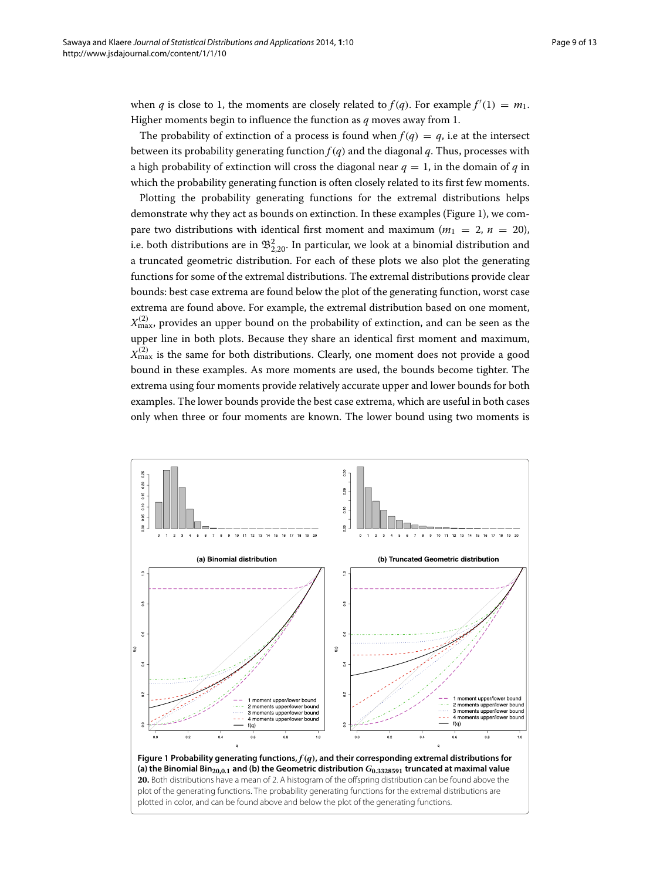when *q* is close to 1, the moments are closely related to  $f(q)$ . For example  $f'(1) = m_1$ . Higher moments begin to influence the function as *q* moves away from 1.

The probability of extinction of a process is found when  $f(q) = q$ , i.e at the intersect between its probability generating function  $f(q)$  and the diagonal  $q$ . Thus, processes with a high probability of extinction will cross the diagonal near  $q = 1$ , in the domain of *q* in which the probability generating function is often closely related to its first few moments.

Plotting the probability generating functions for the extremal distributions helps demonstrate why they act as bounds on extinction. In these examples (Figure [1\)](#page-8-0), we compare two distributions with identical first moment and maximum  $(m_1 = 2, n = 20)$ , i.e. both distributions are in  $\mathfrak{B}_{2, 20}^2$ . In particular, we look at a binomial distribution and a truncated geometric distribution. For each of these plots we also plot the generating functions for some of the extremal distributions. The extremal distributions provide clear bounds: best case extrema are found below the plot of the generating function, worst case extrema are found above. For example, the extremal distribution based on one moment,  $X_{\text{max}}^{(2)}$ , provides an upper bound on the probability of extinction, and can be seen as the upper line in both plots. Because they share an identical first moment and maximum,  $X_{\text{max}}^{(2)}$  is the same for both distributions. Clearly, one moment does not provide a good bound in these examples. As more moments are used, the bounds become tighter. The extrema using four moments provide relatively accurate upper and lower bounds for both examples. The lower bounds provide the best case extrema, which are useful in both cases only when three or four moments are known. The lower bound using two moments is

<span id="page-8-0"></span>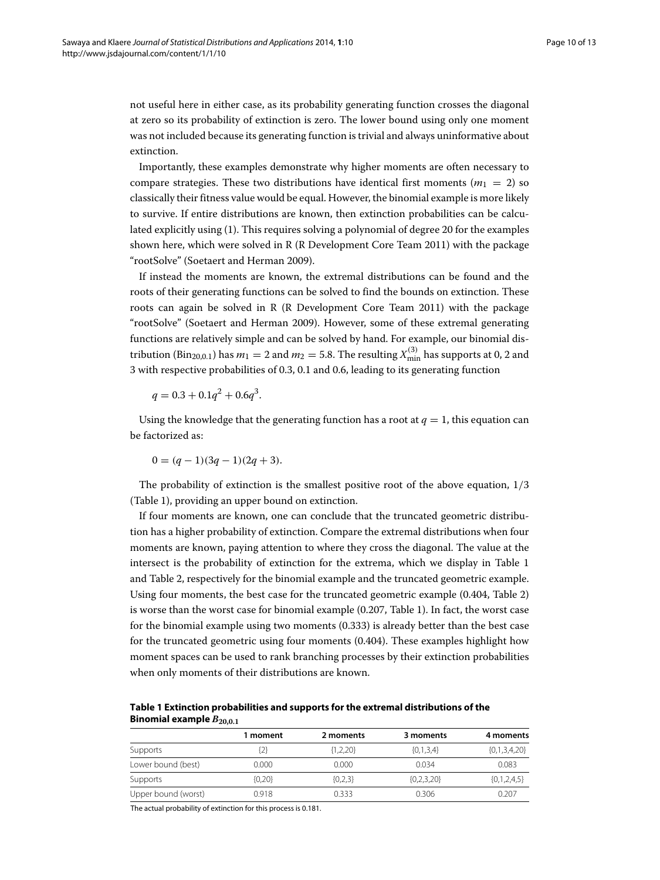not useful here in either case, as its probability generating function crosses the diagonal at zero so its probability of extinction is zero. The lower bound using only one moment was not included because its generating function is trivial and always uninformative about extinction.

Importantly, these examples demonstrate why higher moments are often necessary to compare strategies. These two distributions have identical first moments ( $m_1 = 2$ ) so classically their fitness value would be equal. However, the binomial example is more likely to survive. If entire distributions are known, then extinction probabilities can be calculated explicitly using (1). This requires solving a polynomial of degree 20 for the examples shown here, which were solved in R (R Development Core Team [2011\)](#page-11-14) with the package "rootSolve" (Soetaert and Herman [2009\)](#page-12-2).

If instead the moments are known, the extremal distributions can be found and the roots of their generating functions can be solved to find the bounds on extinction. These roots can again be solved in R (R Development Core Team [2011\)](#page-11-14) with the package "rootSolve" (Soetaert and Herman [2009\)](#page-12-2). However, some of these extremal generating functions are relatively simple and can be solved by hand. For example, our binomial distribution (Bin<sub>20,0.1</sub>) has  $m_1 = 2$  and  $m_2 = 5.8$ . The resulting  $X^{(3)}_{\rm min}$  has supports at 0, 2 and 3 with respective probabilities of 0.3, 0.1 and 0.6, leading to its generating function

$$
q = 0.3 + 0.1q^2 + 0.6q^3.
$$

Using the knowledge that the generating function has a root at  $q = 1$ , this equation can be factorized as:

$$
0 = (q-1)(3q-1)(2q+3).
$$

The probability of extinction is the smallest positive root of the above equation, 1*/*3 (Table [1\)](#page-9-0), providing an upper bound on extinction.

If four moments are known, one can conclude that the truncated geometric distribution has a higher probability of extinction. Compare the extremal distributions when four moments are known, paying attention to where they cross the diagonal. The value at the intersect is the probability of extinction for the extrema, which we display in Table [1](#page-9-0) and Table [2,](#page-10-0) respectively for the binomial example and the truncated geometric example. Using four moments, the best case for the truncated geometric example (0.404, Table [2\)](#page-10-0) is worse than the worst case for binomial example (0.207, Table [1\)](#page-9-0). In fact, the worst case for the binomial example using two moments (0.333) is already better than the best case for the truncated geometric using four moments (0.404). These examples highlight how moment spaces can be used to rank branching processes by their extinction probabilities when only moments of their distributions are known.

<span id="page-9-0"></span>**Table 1 Extinction probabilities and supports for the extremal distributions of the Binomial example**  $B_{20,0.1}$ 

|                     | 1 moment | 2 moments  | 3 moments     | 4 moments      |
|---------------------|----------|------------|---------------|----------------|
| Supports            | 2}       | ${1,2,20}$ | $\{0,1,3,4\}$ | ${0,1,3,4,20}$ |
| Lower bound (best)  | 0.000    | 0.000      | 0.034         | 0.083          |
| Supports            | ${0,20}$ | ${0,2,3}$  | ${0,2,3,20}$  | ${0,1,2,4,5}$  |
| Upper bound (worst) | 0.918    | 0.333      | 0.306         | 0.207          |

The actual probability of extinction for this process is 0.181.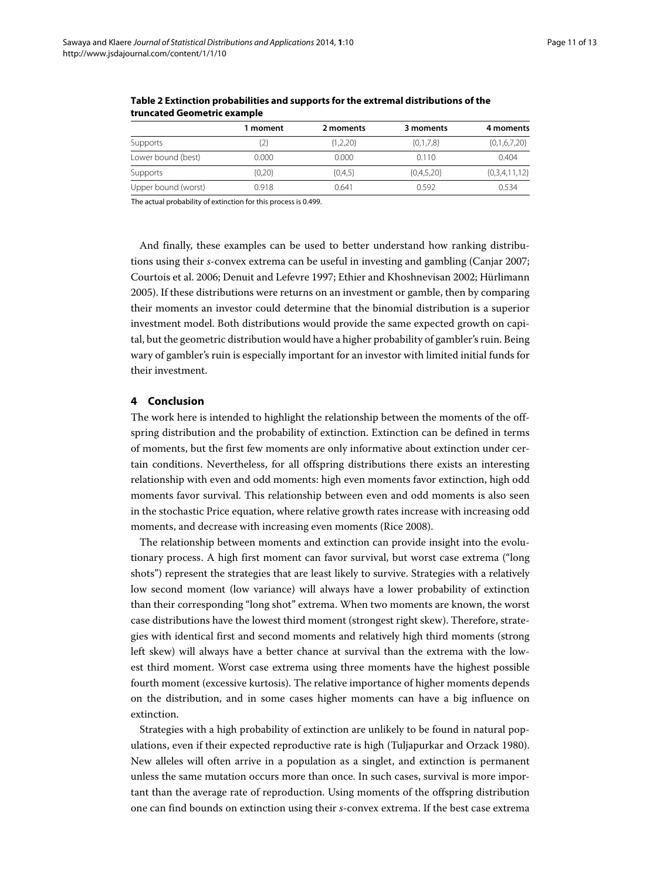|                     | 1 moment | 2 moments  | 3 moments    | 4 moments       |
|---------------------|----------|------------|--------------|-----------------|
| Supports            | [2]      | ${1,2,20}$ | ${0,1,7,8}$  | ${0,1,6,7,20}$  |
| Lower bound (best)  | 0.000    | 0.000      | 0.110        | 0.404           |
| Supports            | ${0,20}$ | ${0,4,5}$  | ${0,4,5,20}$ | ${0,3,4,11,12}$ |
| Upper bound (worst) | 0.918    | 0.641      | 0.592        | 0.534           |

<span id="page-10-0"></span>**Table 2 Extinction probabilities and supports for the extremal distributions of the truncated Geometric example**

The actual probability of extinction for this process is 0.499.

And finally, these examples can be used to better understand how ranking distributions using their *s*-convex extrema can be useful in investing and gambling (Canjar [2007;](#page-11-4) Courtois et al. [2006;](#page-11-6) Denuit and Lefevre [1997;](#page-11-8) Ethier and Khoshnevisan [2002;](#page-11-3) Hürlimann [2005\)](#page-11-5). If these distributions were returns on an investment or gamble, then by comparing their moments an investor could determine that the binomial distribution is a superior investment model. Both distributions would provide the same expected growth on capital, but the geometric distribution would have a higher probability of gambler's ruin. Being wary of gambler's ruin is especially important for an investor with limited initial funds for their investment.

## **4 Conclusion**

The work here is intended to highlight the relationship between the moments of the offspring distribution and the probability of extinction. Extinction can be defined in terms of moments, but the first few moments are only informative about extinction under certain conditions. Nevertheless, for all offspring distributions there exists an interesting relationship with even and odd moments: high even moments favor extinction, high odd moments favor survival. This relationship between even and odd moments is also seen in the stochastic Price equation, where relative growth rates increase with increasing odd moments, and decrease with increasing even moments (Rice [2008\)](#page-12-3).

The relationship between moments and extinction can provide insight into the evolutionary process. A high first moment can favor survival, but worst case extrema ("long shots") represent the strategies that are least likely to survive. Strategies with a relatively low second moment (low variance) will always have a lower probability of extinction than their corresponding "long shot" extrema. When two moments are known, the worst case distributions have the lowest third moment (strongest right skew). Therefore, strategies with identical first and second moments and relatively high third moments (strong left skew) will always have a better chance at survival than the extrema with the lowest third moment. Worst case extrema using three moments have the highest possible fourth moment (excessive kurtosis). The relative importance of higher moments depends on the distribution, and in some cases higher moments can have a big influence on extinction.

Strategies with a high probability of extinction are unlikely to be found in natural populations, even if their expected reproductive rate is high (Tuljapurkar and Orzack [1980\)](#page-12-0). New alleles will often arrive in a population as a singlet, and extinction is permanent unless the same mutation occurs more than once. In such cases, survival is more important than the average rate of reproduction. Using moments of the offspring distribution one can find bounds on extinction using their *s*-convex extrema. If the best case extrema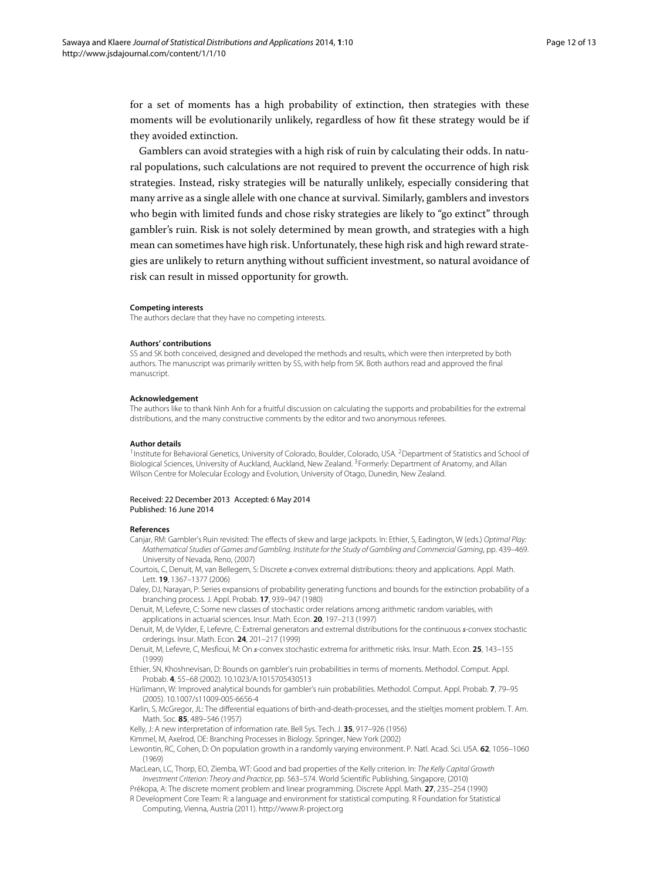for a set of moments has a high probability of extinction, then strategies with these moments will be evolutionarily unlikely, regardless of how fit these strategy would be if they avoided extinction.

Gamblers can avoid strategies with a high risk of ruin by calculating their odds. In natural populations, such calculations are not required to prevent the occurrence of high risk strategies. Instead, risky strategies will be naturally unlikely, especially considering that many arrive as a single allele with one chance at survival. Similarly, gamblers and investors who begin with limited funds and chose risky strategies are likely to "go extinct" through gambler's ruin. Risk is not solely determined by mean growth, and strategies with a high mean can sometimes have high risk. Unfortunately, these high risk and high reward strategies are unlikely to return anything without sufficient investment, so natural avoidance of risk can result in missed opportunity for growth.

#### **Competing interests**

The authors declare that they have no competing interests.

#### **Authors' contributions**

SS and SK both conceived, designed and developed the methods and results, which were then interpreted by both authors. The manuscript was primarily written by SS, with help from SK. Both authors read and approved the final manuscript.

#### **Acknowledgement**

The authors like to thank Ninh Anh for a fruitful discussion on calculating the supports and probabilities for the extremal distributions, and the many constructive comments by the editor and two anonymous referees.

#### **Author details**

<sup>1</sup> Institute for Behavioral Genetics, University of Colorado, Boulder, Colorado, USA. <sup>2</sup> Department of Statistics and School of Biological Sciences, University of Auckland, Auckland, New Zealand. 3Formerly: Department of Anatomy, and Allan Wilson Centre for Molecular Ecology and Evolution, University of Otago, Dunedin, New Zealand.

#### Received: 22 December 2013 Accepted: 6 May 2014 Published: 16 June 2014

#### **References**

- <span id="page-11-4"></span>Canjar, RM: Gambler's Ruin revisited: The effects of skew and large jackpots. In: Ethier, S, Eadington, W (eds.) Optimal Play: Mathematical Studies of Games and Gambling. Institute for the Study of Gambling and Commercial Gaming, pp. 439–469. University of Nevada, Reno, (2007)
- <span id="page-11-6"></span>Courtois, C, Denuit, M, van Bellegem, S: Discrete *s*-convex extremal distributions: theory and applications. Appl. Math. Lett. **19**, 1367–1377 (2006)
- <span id="page-11-7"></span>Daley, DJ, Narayan, P: Series expansions of probability generating functions and bounds for the extinction probability of a branching process. J. Appl. Probab. **17**, 939–947 (1980)

<span id="page-11-8"></span>Denuit, M, Lefevre, C: Some new classes of stochastic order relations among arithmetic random variables, with applications in actuarial sciences. Insur. Math. Econ. **20**, 197–213 (1997)

- <span id="page-11-13"></span>Denuit, M, de Vylder, E, Lefevre, C: Extremal generators and extremal distributions for the continuous *s*-convex stochastic orderings. Insur. Math. Econ. **24**, 201–217 (1999)
- <span id="page-11-12"></span>Denuit, M, Lefevre, C, Mesfioui, M: On *s*-convex stochastic extrema for arithmetic risks. Insur. Math. Econ. **25**, 143–155 (1999)
- <span id="page-11-3"></span>Ethier, SN, Khoshnevisan, D: Bounds on gambler's ruin probabilities in terms of moments. Methodol. Comput. Appl. Probab. **4**, 55–68 (2002). 10.1023/A:1015705430513
- <span id="page-11-5"></span>Hürlimann, W: Improved analytical bounds for gambler's ruin probabilities. Methodol. Comput. Appl. Probab. **7**, 79–95 (2005). 10.1007/s11009-005-6656-4
- <span id="page-11-10"></span>Karlin, S, McGregor, JL: The differential equations of birth-and-death-processes, and the stieltjes moment problem. T. Am. Math. Soc. **85**, 489–546 (1957)
- <span id="page-11-1"></span>Kelly, J: A new interpretation of information rate. Bell Sys. Tech. J. **35**, 917–926 (1956)
- <span id="page-11-9"></span>Kimmel, M, Axelrod, DE: Branching Processes in Biology. Springer, New York (2002)
- <span id="page-11-0"></span>Lewontin, RC, Cohen, D: On population growth in a randomly varying environment. P. Natl. Acad. Sci. USA. **62**, 1056–1060 (1969)
- <span id="page-11-2"></span>MacLean, LC, Thorp, EO, Ziemba, WT: Good and bad properties of the Kelly criterion. In: The Kelly Capital Growth Investment Criterion: Theory and Practice, pp. 563–574. World Scientific Publishing, Singapore, (2010)

<span id="page-11-11"></span>Prékopa, A: The discrete moment problem and linear programming. Discrete Appl. Math. **27**, 235–254 (1990)

<span id="page-11-14"></span>R Development Core Team: R: a language and environment for statistical computing. R Foundation for Statistical Computing, Vienna, Austria (2011).<http://www.R-project.org>